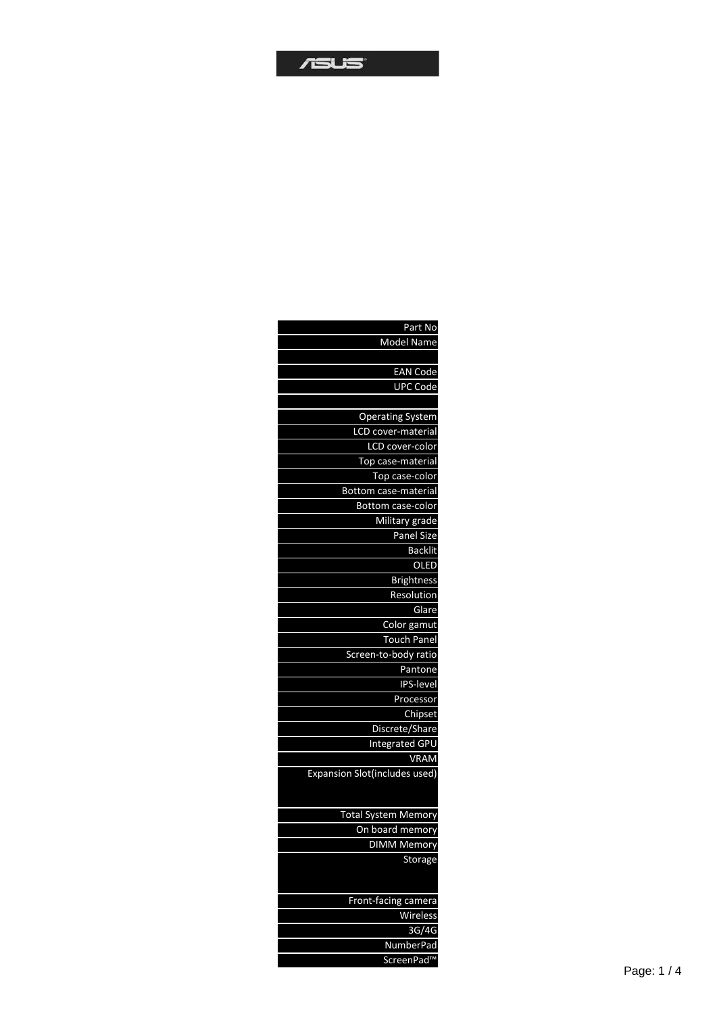| Part No                              |
|--------------------------------------|
| Model Name                           |
|                                      |
| <b>EAN Code</b>                      |
| <b>UPC Code</b>                      |
|                                      |
| <b>Operating System</b>              |
| LCD cover-material                   |
| LCD cover-color                      |
| Top case-material                    |
| Top case-color                       |
| Bottom case-material                 |
| Bottom case-color                    |
| Military grade                       |
| <b>Panel Size</b>                    |
| <b>Backlit</b>                       |
| OLED                                 |
| <b>Brightness</b>                    |
| Resolution                           |
| Glare                                |
| Color gamut                          |
| <b>Touch Panel</b>                   |
| Screen-to-body ratio                 |
|                                      |
| Pantone                              |
| IPS-level                            |
| Processor                            |
| Chipset                              |
| Discrete/Share                       |
| <b>Integrated GPU</b>                |
| <b>VRAM</b>                          |
| <b>Expansion Slot(includes used)</b> |
|                                      |
| <b>Total System Memory</b>           |
| On board memory                      |
| <b>DIMM Memory</b>                   |
| Storage                              |
|                                      |
|                                      |
| <b>Front-facing camera</b>           |
| Wireless                             |
| 3G/4G                                |
| <b>NumberPad</b>                     |
| ScreenPad™                           |
|                                      |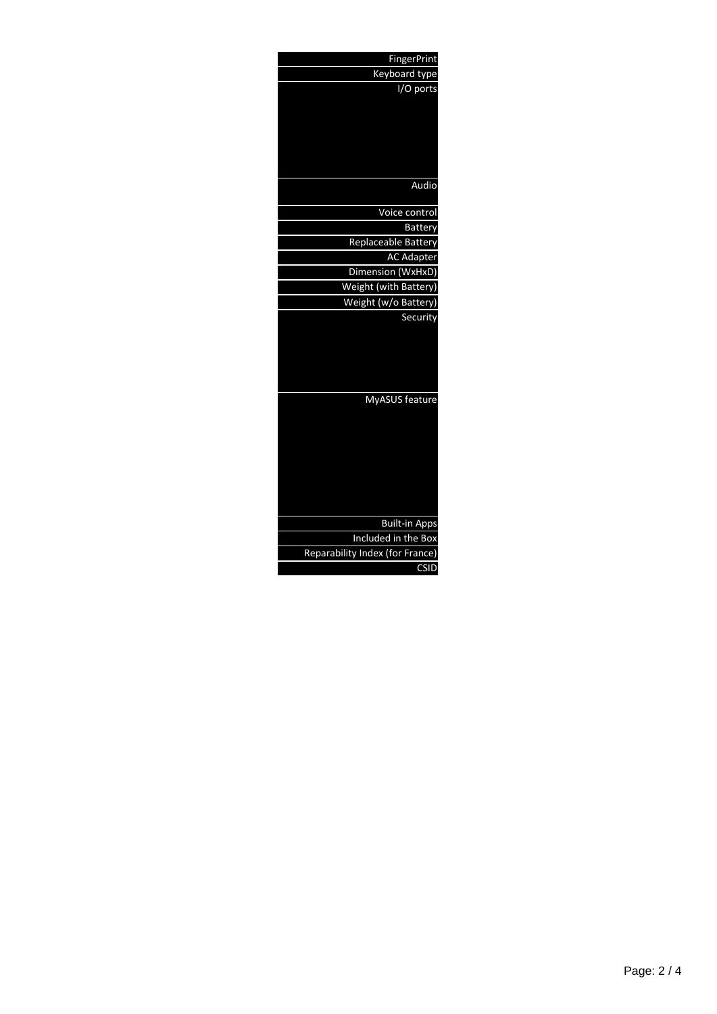| <b>FingerPrint</b>              |
|---------------------------------|
| Keyboard type                   |
| I/O ports                       |
|                                 |
|                                 |
|                                 |
|                                 |
|                                 |
| Audio                           |
|                                 |
| Voice control                   |
| <b>Battery</b>                  |
| Replaceable Battery             |
| <b>AC Adapter</b>               |
| Dimension (WxHxD)               |
| Weight (with Battery)           |
| Weight (w/o Battery)            |
| Security                        |
|                                 |
|                                 |
|                                 |
|                                 |
| MyASUS feature                  |
|                                 |
|                                 |
|                                 |
|                                 |
|                                 |
|                                 |
|                                 |
|                                 |
| <b>Built-in Apps</b>            |
| Included in the Box             |
| Reparability Index (for France) |
| CSID                            |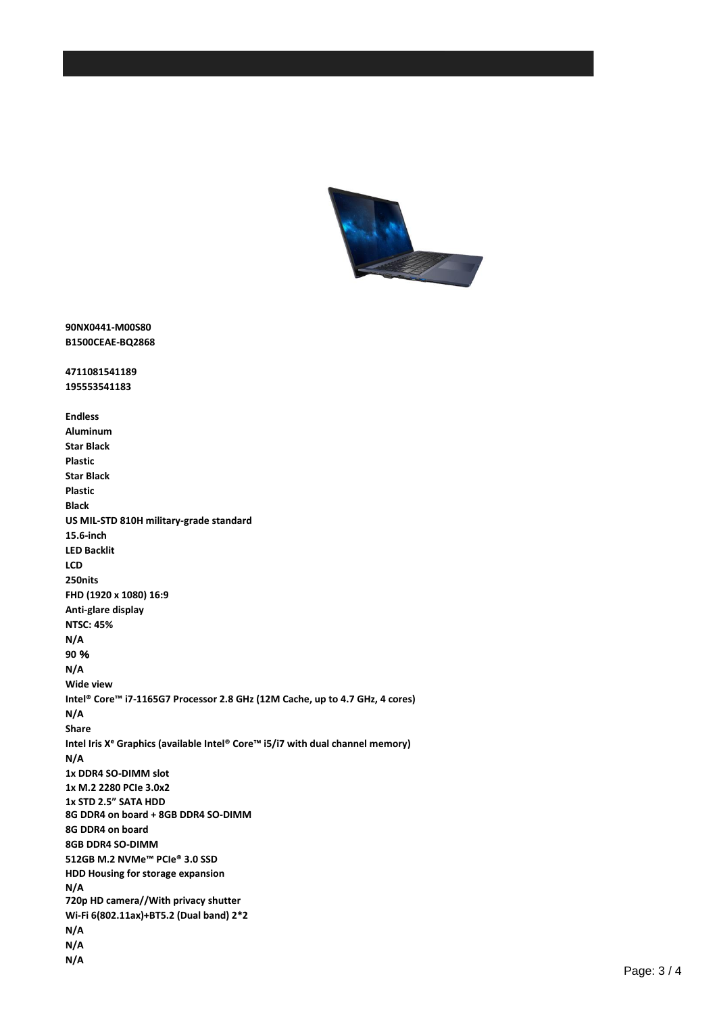

**90NX0441-M00S80 B1500CEAE-BQ2868**

**4711081541189 195553541183**

**Endless Aluminum Star Black Plastic Star Black Plastic Black US MIL-STD 810H military-grade standard 15.6-inch LED Backlit LCD 250nits FHD (1920 x 1080) 16:9 Anti-glare display NTSC: 45% N/A 90** % **N/A Wide view Intel® Core™ i7-1165G7 Processor 2.8 GHz (12M Cache, up to 4.7 GHz, 4 cores) N/A Share Intel Iris Xᵉ Graphics (available Intel® Core™ i5/i7 with dual channel memory) N/A 1x DDR4 SO-DIMM slot 1x M.2 2280 PCIe 3.0x2 1x STD 2.5" SATA HDD 8G DDR4 on board + 8GB DDR4 SO-DIMM 8G DDR4 on board 8GB DDR4 SO-DIMM 512GB M.2 NVMe™ PCIe® 3.0 SSD HDD Housing for storage expansion N/A 720p HD camera//With privacy shutter Wi-Fi 6(802.11ax)+BT5.2 (Dual band) 2\*2 N/A N/A N/A**